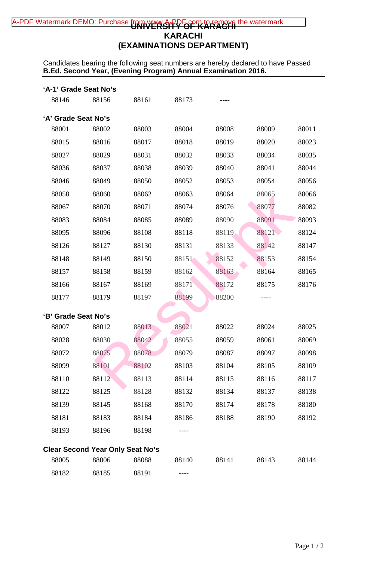# A-PDF Watermark DEMO: Purchase from w<del>ww.A-PPFor m to remove</del> the watermark **KARACHI (EXAMINATIONS DEPARTMENT)**

Candidates bearing the following seat numbers are hereby declared to have Passed **B.Ed. Second Year, (Evening Program) Annual Examination 2016.**

| 'A-1' Grade Seat No's |                                                  |       |       |       |       |       |
|-----------------------|--------------------------------------------------|-------|-------|-------|-------|-------|
| 88146                 | 88156                                            | 88161 | 88173 |       |       |       |
| 'A' Grade Seat No's   |                                                  |       |       |       |       |       |
| 88001                 | 88002                                            | 88003 | 88004 | 88008 | 88009 | 88011 |
| 88015                 | 88016                                            | 88017 | 88018 | 88019 | 88020 | 88023 |
| 88027                 | 88029                                            | 88031 | 88032 | 88033 | 88034 | 88035 |
| 88036                 | 88037                                            | 88038 | 88039 | 88040 | 88041 | 88044 |
| 88046                 | 88049                                            | 88050 | 88052 | 88053 | 88054 | 88056 |
| 88058                 | 88060                                            | 88062 | 88063 | 88064 | 88065 | 88066 |
| 88067                 | 88070                                            | 88071 | 88074 | 88076 | 88077 | 88082 |
| 88083                 | 88084                                            | 88085 | 88089 | 88090 | 88091 | 88093 |
| 88095                 | 88096                                            | 88108 | 88118 | 88119 | 88121 | 88124 |
| 88126                 | 88127                                            | 88130 | 88131 | 88133 | 88142 | 88147 |
| 88148                 | 88149                                            | 88150 | 88151 | 88152 | 88153 | 88154 |
| 88157                 | 88158                                            | 88159 | 88162 | 88163 | 88164 | 88165 |
| 88166                 | 88167                                            | 88169 | 88171 | 88172 | 88175 | 88176 |
| 88177                 | 88179                                            | 88197 | 88199 | 88200 |       |       |
| 'B' Grade Seat No's   |                                                  |       |       |       |       |       |
| 88007                 | 88012                                            | 88013 | 88021 | 88022 | 88024 | 88025 |
| 88028                 | 88030                                            | 88042 | 88055 | 88059 | 88061 | 88069 |
| 88072                 | 88075                                            | 88078 | 88079 | 88087 | 88097 | 88098 |
| 88099                 | 88101                                            | 88102 | 88103 | 88104 | 88105 | 88109 |
| 88110                 | 88112                                            | 88113 | 88114 | 88115 | 88116 | 88117 |
| 88122                 | 88125                                            | 88128 | 88132 | 88134 | 88137 | 88138 |
| 88139                 | 88145                                            | 88168 | 88170 | 88174 | 88178 | 88180 |
| 88181                 | 88183                                            | 88184 | 88186 | 88188 | 88190 | 88192 |
| 88193                 | 88196                                            | 88198 |       |       |       |       |
|                       |                                                  |       |       |       |       |       |
| 88005                 | <b>Clear Second Year Only Seat No's</b><br>88006 | 88088 | 88140 | 88141 | 88143 | 88144 |
|                       |                                                  |       |       |       |       |       |
| 88182                 | 88185                                            | 88191 |       |       |       |       |